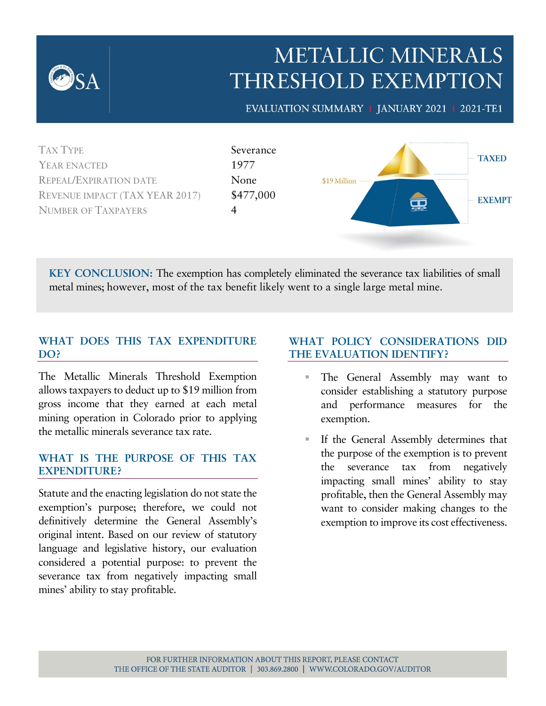

YEAR ENACTED 1977 REPEAL/EXPIRATION DATE None REVENUE IMPACT (TAX YEAR 2017) \$477,000 NUMBER OF TAXPAYERS 4



**KEY CONCLUSION:** The exemption has completely eliminated the severance tax liabilities of small metal mines; however, most of the tax benefit likely went to a single large metal mine.

#### **WHAT DOES THIS TAX EXPENDITURE DO?**

The Metallic Minerals Threshold Exemption allows taxpayers to deduct up to \$19 million from gross income that they earned at each metal mining operation in Colorado prior to applying the metallic minerals severance tax rate.

#### **WHAT IS THE PURPOSE OF THIS TAX EXPENDITURE?**

Statute and the enacting legislation do not state the exemption's purpose; therefore, we could not definitively determine the General Assembly's original intent. Based on our review of statutory language and legislative history, our evaluation considered a potential purpose: to prevent the severance tax from negatively impacting small mines' ability to stay profitable.

#### **WHAT POLICY CONSIDERATIONS DID THE EVALUATION IDENTIFY?**

- The General Assembly may want to consider establishing a statutory purpose and performance measures for the exemption.
- If the General Assembly determines that the purpose of the exemption is to prevent the severance tax from negatively impacting small mines' ability to stay profitable, then the General Assembly may want to consider making changes to the exemption to improve its cost effectiveness.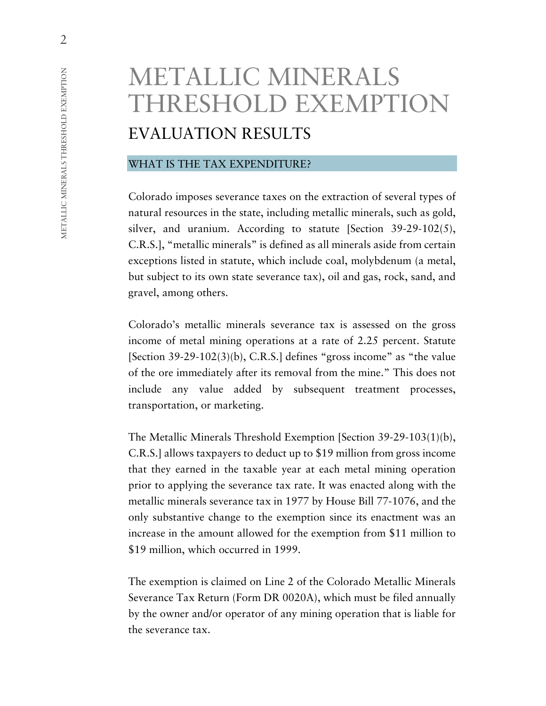# METALLIC MINERALS THRESHOLD EXEMPTION EVALUATION RESULTS

#### WHAT IS THE TAX EXPENDITURE?

Colorado imposes severance taxes on the extraction of several types of natural resources in the state, including metallic minerals, such as gold, silver, and uranium. According to statute [Section 39-29-102(5), C.R.S.], "metallic minerals" is defined as all minerals aside from certain exceptions listed in statute, which include coal, molybdenum (a metal, but subject to its own state severance tax), oil and gas, rock, sand, and gravel, among others.

Colorado's metallic minerals severance tax is assessed on the gross income of metal mining operations at a rate of 2.25 percent. Statute [Section  $39-29-102(3)(b)$ , C.R.S.] defines "gross income" as "the value of the ore immediately after its removal from the mine." This does not include any value added by subsequent treatment processes, transportation, or marketing.

The Metallic Minerals Threshold Exemption [Section 39-29-103(1)(b), C.R.S.] allows taxpayers to deduct up to \$19 million from gross income that they earned in the taxable year at each metal mining operation prior to applying the severance tax rate. It was enacted along with the metallic minerals severance tax in 1977 by House Bill 77-1076, and the only substantive change to the exemption since its enactment was an increase in the amount allowed for the exemption from \$11 million to \$19 million, which occurred in 1999.

The exemption is claimed on Line 2 of the Colorado Metallic Minerals Severance Tax Return (Form DR 0020A), which must be filed annually by the owner and/or operator of any mining operation that is liable for the severance tax.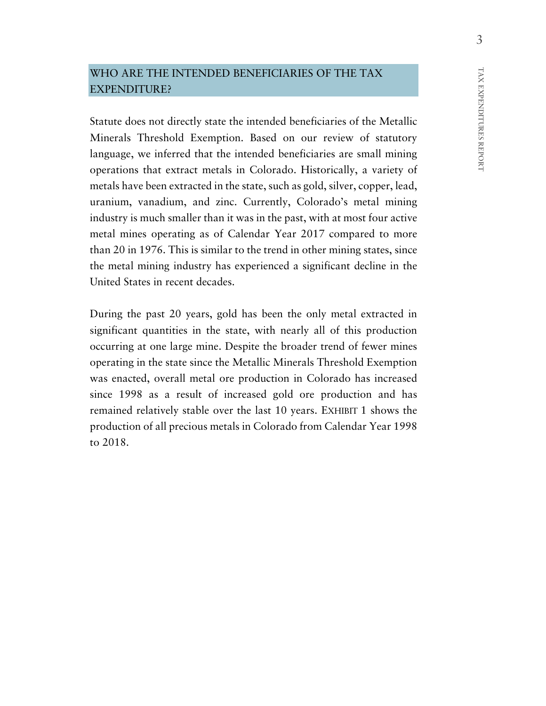#### WHO ARE THE INTENDED BENEFICIARIES OF THE TAX EXPENDITURE?

Statute does not directly state the intended beneficiaries of the Metallic Minerals Threshold Exemption. Based on our review of statutory language, we inferred that the intended beneficiaries are small mining operations that extract metals in Colorado. Historically, a variety of metals have been extracted in the state, such as gold, silver, copper, lead, uranium, vanadium, and zinc. Currently, Colorado's metal mining industry is much smaller than it was in the past, with at most four active metal mines operating as of Calendar Year 2017 compared to more than 20 in 1976. This is similar to the trend in other mining states, since the metal mining industry has experienced a significant decline in the United States in recent decades.

During the past 20 years, gold has been the only metal extracted in significant quantities in the state, with nearly all of this production occurring at one large mine. Despite the broader trend of fewer mines operating in the state since the Metallic Minerals Threshold Exemption was enacted, overall metal ore production in Colorado has increased since 1998 as a result of increased gold ore production and has remained relatively stable over the last 10 years. EXHIBIT 1 shows the production of all precious metals in Colorado from Calendar Year 1998 to 2018.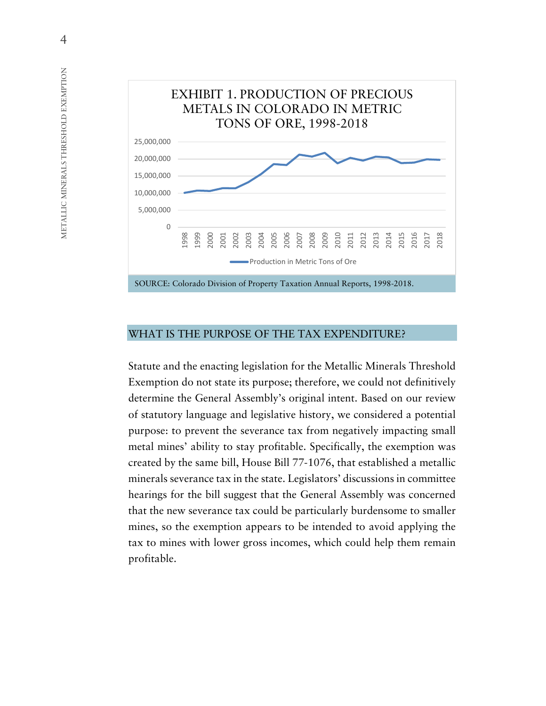

#### WHAT IS THE PURPOSE OF THE TAX EXPENDITURE?

Statute and the enacting legislation for the Metallic Minerals Threshold Exemption do not state its purpose; therefore, we could not definitively determine the General Assembly's original intent. Based on our review of statutory language and legislative history, we considered a potential purpose: to prevent the severance tax from negatively impacting small metal mines' ability to stay profitable. Specifically, the exemption was created by the same bill, House Bill 77-1076, that established a metallic minerals severance tax in the state. Legislators' discussions in committee hearings for the bill suggest that the General Assembly was concerned that the new severance tax could be particularly burdensome to smaller mines, so the exemption appears to be intended to avoid applying the tax to mines with lower gross incomes, which could help them remain profitable.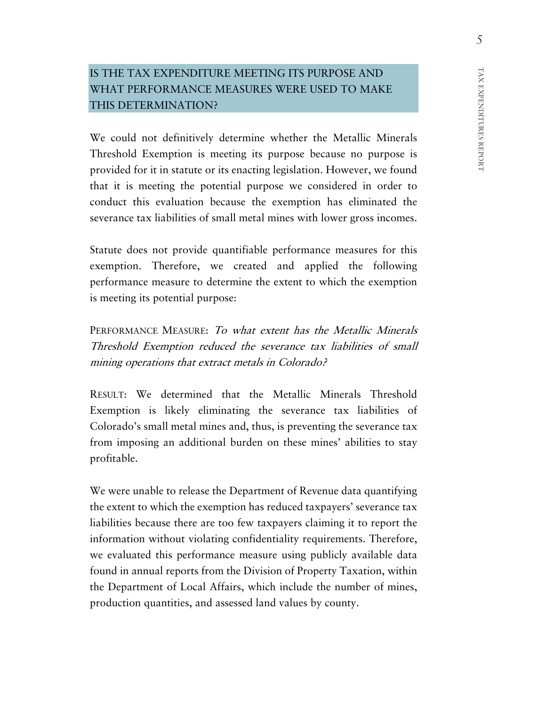# IS THE TAX EXPENDITURE MEETING ITS PURPOSE AND WHAT PERFORMANCE MEASURES WERE USED TO MAKE THIS DETERMINATION?

We could not definitively determine whether the Metallic Minerals Threshold Exemption is meeting its purpose because no purpose is provided for it in statute or its enacting legislation. However, we found that it is meeting the potential purpose we considered in order to conduct this evaluation because the exemption has eliminated the severance tax liabilities of small metal mines with lower gross incomes.

Statute does not provide quantifiable performance measures for this exemption. Therefore, we created and applied the following performance measure to determine the extent to which the exemption is meeting its potential purpose:

PERFORMANCE MEASURE: To what extent has the Metallic Minerals Threshold Exemption reduced the severance tax liabilities of small mining operations that extract metals in Colorado?

RESULT: We determined that the Metallic Minerals Threshold Exemption is likely eliminating the severance tax liabilities of Colorado's small metal mines and, thus, is preventing the severance tax from imposing an additional burden on these mines' abilities to stay profitable.

We were unable to release the Department of Revenue data quantifying the extent to which the exemption has reduced taxpayers' severance tax liabilities because there are too few taxpayers claiming it to report the information without violating confidentiality requirements. Therefore, we evaluated this performance measure using publicly available data found in annual reports from the Division of Property Taxation, within the Department of Local Affairs, which include the number of mines, production quantities, and assessed land values by county.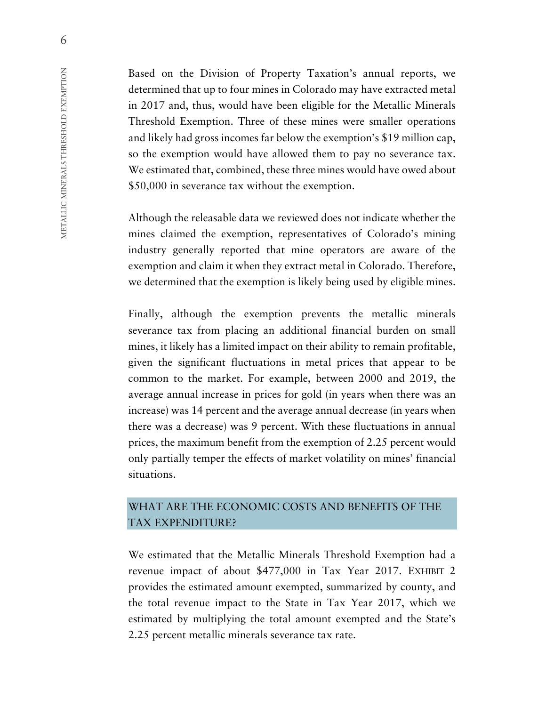Based on the Division of Property Taxation's annual reports, we determined that up to four mines in Colorado may have extracted metal in 2017 and, thus, would have been eligible for the Metallic Minerals Threshold Exemption. Three of these mines were smaller operations and likely had gross incomes far below the exemption's \$19 million cap, so the exemption would have allowed them to pay no severance tax. We estimated that, combined, these three mines would have owed about \$50,000 in severance tax without the exemption.

Although the releasable data we reviewed does not indicate whether the mines claimed the exemption, representatives of Colorado's mining industry generally reported that mine operators are aware of the exemption and claim it when they extract metal in Colorado. Therefore, we determined that the exemption is likely being used by eligible mines.

Finally, although the exemption prevents the metallic minerals severance tax from placing an additional financial burden on small mines, it likely has a limited impact on their ability to remain profitable, given the significant fluctuations in metal prices that appear to be common to the market. For example, between 2000 and 2019, the average annual increase in prices for gold (in years when there was an increase) was 14 percent and the average annual decrease (in years when there was a decrease) was 9 percent. With these fluctuations in annual prices, the maximum benefit from the exemption of 2.25 percent would only partially temper the effects of market volatility on mines' financial situations.

## WHAT ARE THE ECONOMIC COSTS AND BENEFITS OF THE TAX EXPENDITURE?

We estimated that the Metallic Minerals Threshold Exemption had a revenue impact of about \$477,000 in Tax Year 2017. EXHIBIT 2 provides the estimated amount exempted, summarized by county, and the total revenue impact to the State in Tax Year 2017, which we estimated by multiplying the total amount exempted and the State's 2.25 percent metallic minerals severance tax rate.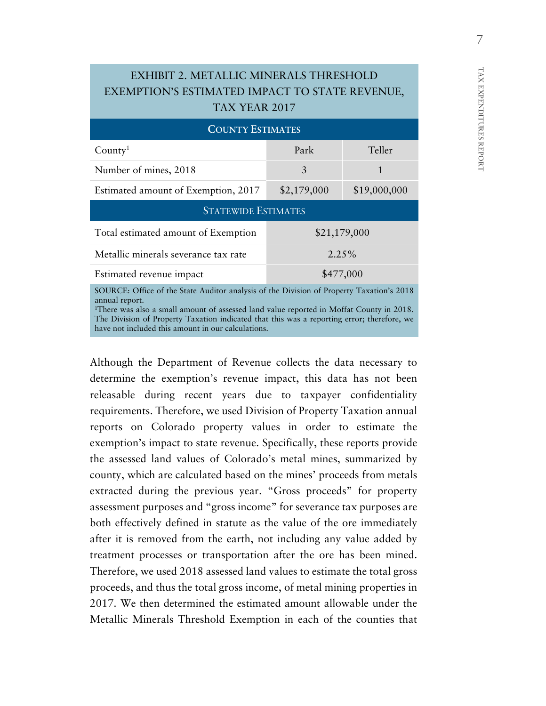# EXHIBIT 2. METALLIC MINERALS THRESHOLD EXEMPTION'S ESTIMATED IMPACT TO STATE REVENUE, TAX YEAR 2017

| <b>COUNTY ESTIMATES</b>                                                                                                                                                                                                                                                                                                               |              |              |  |  |
|---------------------------------------------------------------------------------------------------------------------------------------------------------------------------------------------------------------------------------------------------------------------------------------------------------------------------------------|--------------|--------------|--|--|
| County <sup>1</sup>                                                                                                                                                                                                                                                                                                                   | Park         | Teller       |  |  |
| Number of mines, 2018                                                                                                                                                                                                                                                                                                                 | 3            | 1            |  |  |
| Estimated amount of Exemption, 2017                                                                                                                                                                                                                                                                                                   | \$2,179,000  | \$19,000,000 |  |  |
| <b>STATEWIDE ESTIMATES</b>                                                                                                                                                                                                                                                                                                            |              |              |  |  |
| Total estimated amount of Exemption                                                                                                                                                                                                                                                                                                   | \$21,179,000 |              |  |  |
| Metallic minerals severance tax rate                                                                                                                                                                                                                                                                                                  | 2.25%        |              |  |  |
| Estimated revenue impact                                                                                                                                                                                                                                                                                                              | \$477,000    |              |  |  |
| SOURCE: Office of the State Auditor analysis of the Division of Property Taxation's 2018<br>annual report.<br><sup>1</sup> There was also a small amount of assessed land value reported in Moffat County in 2018.<br>the contract of the contract of the contract of the contract of the contract of the contract of the contract of |              |              |  |  |

The Division of Property Taxation indicated that this was a reporting error; therefore, we have not included this amount in our calculations.

Although the Department of Revenue collects the data necessary to determine the exemption's revenue impact, this data has not been releasable during recent years due to taxpayer confidentiality requirements. Therefore, we used Division of Property Taxation annual reports on Colorado property values in order to estimate the exemption's impact to state revenue. Specifically, these reports provide the assessed land values of Colorado's metal mines, summarized by county, which are calculated based on the mines' proceeds from metals extracted during the previous year. "Gross proceeds" for property assessment purposes and "gross income" for severance tax purposes are both effectively defined in statute as the value of the ore immediately after it is removed from the earth, not including any value added by treatment processes or transportation after the ore has been mined. Therefore, we used 2018 assessed land values to estimate the total gross proceeds, and thus the total gross income, of metal mining properties in 2017. We then determined the estimated amount allowable under the Metallic Minerals Threshold Exemption in each of the counties that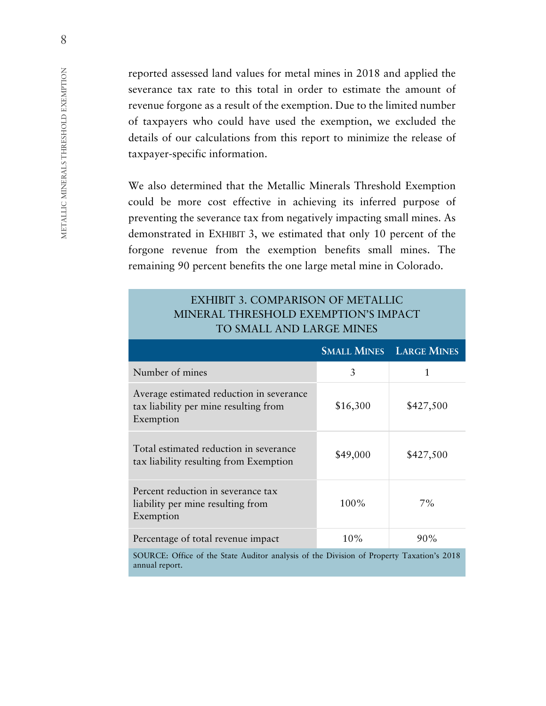reported assessed land values for metal mines in 2018 and applied the severance tax rate to this total in order to estimate the amount of revenue forgone as a result of the exemption. Due to the limited number of taxpayers who could have used the exemption, we excluded the details of our calculations from this report to minimize the release of taxpayer-specific information.

We also determined that the Metallic Minerals Threshold Exemption could be more cost effective in achieving its inferred purpose of preventing the severance tax from negatively impacting small mines. As demonstrated in EXHIBIT 3, we estimated that only 10 percent of the forgone revenue from the exemption benefits small mines. The remaining 90 percent benefits the one large metal mine in Colorado.

#### EXHIBIT 3. COMPARISON OF METALLIC MINERAL THRESHOLD EXEMPTION'S IMPACT TO SMALL AND LARGE MINES

|                                                                                                            |          | <b>SMALL MINES LARGE MINES</b> |  |
|------------------------------------------------------------------------------------------------------------|----------|--------------------------------|--|
| Number of mines                                                                                            | 3        | 1                              |  |
| Average estimated reduction in severance<br>tax liability per mine resulting from<br>Exemption             | \$16,300 | \$427,500                      |  |
| Total estimated reduction in severance<br>tax liability resulting from Exemption                           | \$49,000 | \$427,500                      |  |
| Percent reduction in severance tax<br>liability per mine resulting from<br>Exemption                       | $100\%$  | $7\%$                          |  |
| Percentage of total revenue impact                                                                         | 10%      | 90%                            |  |
| SOURCE: Office of the State Auditor analysis of the Division of Property Taxation's 2018<br>annual report. |          |                                |  |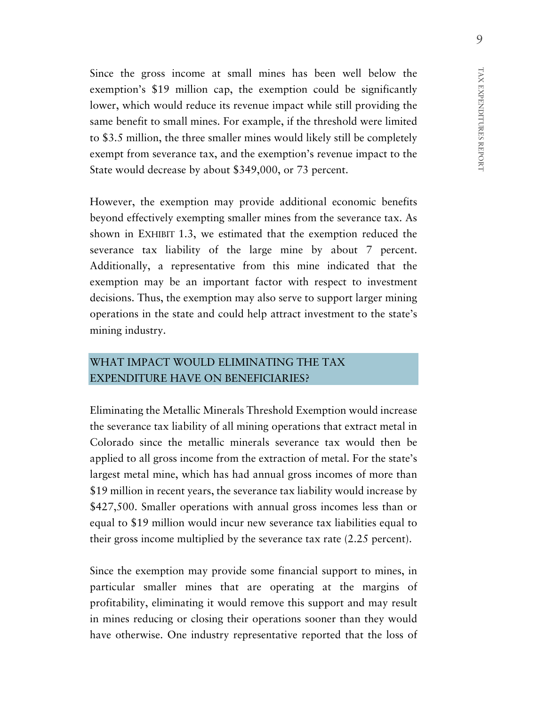Since the gross income at small mines has been well below the exemption's \$19 million cap, the exemption could be significantly lower, which would reduce its revenue impact while still providing the same benefit to small mines. For example, if the threshold were limited to \$3.5 million, the three smaller mines would likely still be completely exempt from severance tax, and the exemption's revenue impact to the State would decrease by about \$349,000, or 73 percent.

However, the exemption may provide additional economic benefits beyond effectively exempting smaller mines from the severance tax. As shown in EXHIBIT 1.3, we estimated that the exemption reduced the severance tax liability of the large mine by about 7 percent. Additionally, a representative from this mine indicated that the exemption may be an important factor with respect to investment decisions. Thus, the exemption may also serve to support larger mining operations in the state and could help attract investment to the state's mining industry.

## WHAT IMPACT WOULD ELIMINATING THE TAX EXPENDITURE HAVE ON BENEFICIARIES?

Eliminating the Metallic Minerals Threshold Exemption would increase the severance tax liability of all mining operations that extract metal in Colorado since the metallic minerals severance tax would then be applied to all gross income from the extraction of metal. For the state's largest metal mine, which has had annual gross incomes of more than \$19 million in recent years, the severance tax liability would increase by \$427,500. Smaller operations with annual gross incomes less than or equal to \$19 million would incur new severance tax liabilities equal to their gross income multiplied by the severance tax rate (2.25 percent).

Since the exemption may provide some financial support to mines, in particular smaller mines that are operating at the margins of profitability, eliminating it would remove this support and may result in mines reducing or closing their operations sooner than they would have otherwise. One industry representative reported that the loss of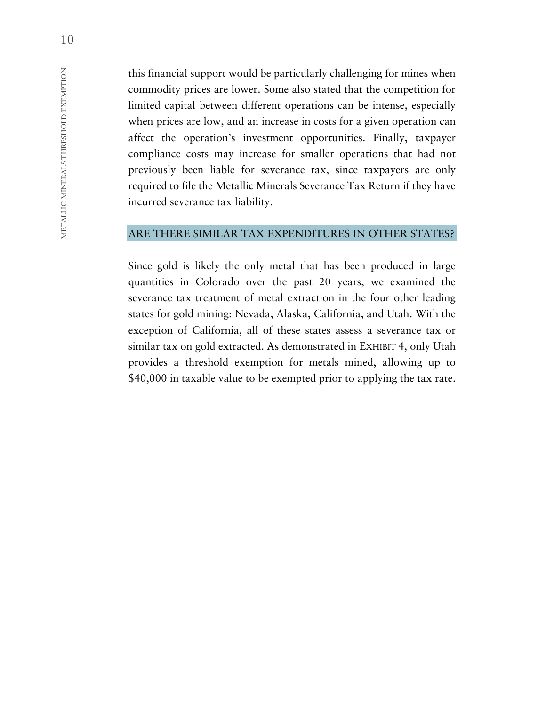this financial support would be particularly challenging for mines when commodity prices are lower. Some also stated that the competition for limited capital between different operations can be intense, especially when prices are low, and an increase in costs for a given operation can affect the operation's investment opportunities. Finally, taxpayer compliance costs may increase for smaller operations that had not previously been liable for severance tax, since taxpayers are only required to file the Metallic Minerals Severance Tax Return if they have incurred severance tax liability.

#### ARE THERE SIMILAR TAX EXPENDITURES IN OTHER STATES?

Since gold is likely the only metal that has been produced in large quantities in Colorado over the past 20 years, we examined the severance tax treatment of metal extraction in the four other leading states for gold mining: Nevada, Alaska, California, and Utah. With the exception of California, all of these states assess a severance tax or similar tax on gold extracted. As demonstrated in EXHIBIT 4, only Utah provides a threshold exemption for metals mined, allowing up to \$40,000 in taxable value to be exempted prior to applying the tax rate.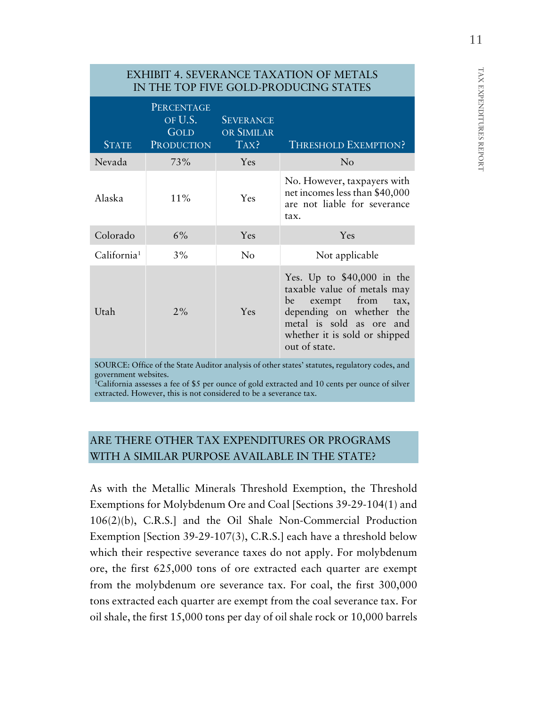# EXHIBIT 4. SEVERANCE TAXATION OF METALS IN THE TOP FIVE GOLD-PRODUCING STATES

| <b>STATE</b>            | PERCENTAGE<br>OF U.S.<br><b>GOLD</b><br><b>PRODUCTION</b> | <b>SEVERANCE</b><br>OR SIMILAR<br>$\overline{TAX}$ ? | <b>THRESHOLD EXEMPTION?</b>                                                                                                                                                                          |
|-------------------------|-----------------------------------------------------------|------------------------------------------------------|------------------------------------------------------------------------------------------------------------------------------------------------------------------------------------------------------|
| Nevada                  | 73%                                                       | Yes                                                  | N <sub>o</sub>                                                                                                                                                                                       |
| Alaska                  | $11\%$                                                    | Yes                                                  | No. However, taxpayers with<br>net incomes less than \$40,000<br>are not liable for severance<br>tax.                                                                                                |
| Colorado                | $6\%$                                                     | Yes                                                  | Yes                                                                                                                                                                                                  |
| California <sup>1</sup> | 3%                                                        | No                                                   | Not applicable                                                                                                                                                                                       |
| Utah                    | 2%                                                        | Yes                                                  | Yes. Up to $$40,000$ in the<br>taxable value of metals may<br>exempt from<br>be<br>tax,<br>depending on whether<br>the<br>metal is sold as ore and<br>whether it is sold or shipped<br>out of state. |

SOURCE: Office of the State Auditor analysis of other states' statutes, regulatory codes, and government websites.

<sup>1</sup>California assesses a fee of \$5 per ounce of gold extracted and 10 cents per ounce of silver extracted. However, this is not considered to be a severance tax.

# ARE THERE OTHER TAX EXPENDITURES OR PROGRAMS WITH A SIMILAR PURPOSE AVAILABLE IN THE STATE?

As with the Metallic Minerals Threshold Exemption, the Threshold Exemptions for Molybdenum Ore and Coal [Sections 39-29-104(1) and 106(2)(b), C.R.S.] and the Oil Shale Non-Commercial Production Exemption [Section 39-29-107(3), C.R.S.] each have a threshold below which their respective severance taxes do not apply. For molybdenum ore, the first 625,000 tons of ore extracted each quarter are exempt from the molybdenum ore severance tax. For coal, the first 300,000 tons extracted each quarter are exempt from the coal severance tax. For oil shale, the first 15,000 tons per day of oil shale rock or 10,000 barrels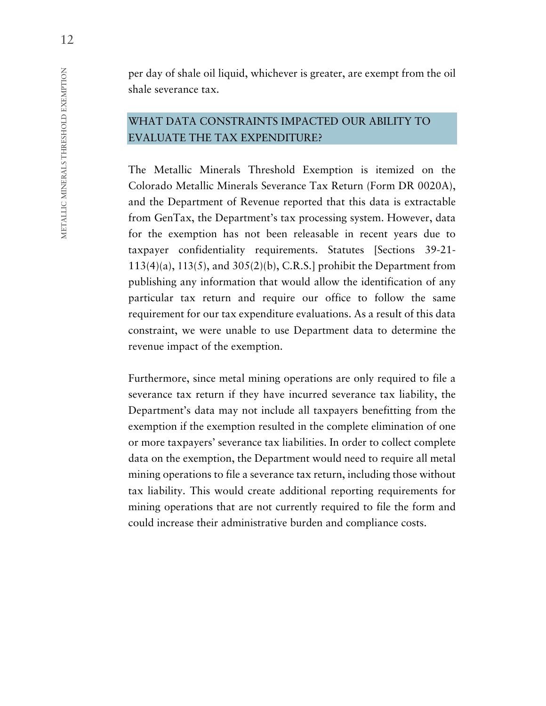per day of shale oil liquid, whichever is greater, are exempt from the oil shale severance tax.

#### WHAT DATA CONSTRAINTS IMPACTED OUR ABILITY TO EVALUATE THE TAX EXPENDITURE?

The Metallic Minerals Threshold Exemption is itemized on the Colorado Metallic Minerals Severance Tax Return (Form DR 0020A), and the Department of Revenue reported that this data is extractable from GenTax, the Department's tax processing system. However, data for the exemption has not been releasable in recent years due to taxpayer confidentiality requirements. Statutes [Sections 39-21-  $113(4)(a)$ ,  $113(5)$ , and  $305(2)(b)$ , C.R.S.] prohibit the Department from publishing any information that would allow the identification of any particular tax return and require our office to follow the same requirement for our tax expenditure evaluations. As a result of this data constraint, we were unable to use Department data to determine the revenue impact of the exemption.

Furthermore, since metal mining operations are only required to file a severance tax return if they have incurred severance tax liability, the Department's data may not include all taxpayers benefitting from the exemption if the exemption resulted in the complete elimination of one or more taxpayers' severance tax liabilities. In order to collect complete data on the exemption, the Department would need to require all metal mining operations to file a severance tax return, including those without tax liability. This would create additional reporting requirements for mining operations that are not currently required to file the form and could increase their administrative burden and compliance costs.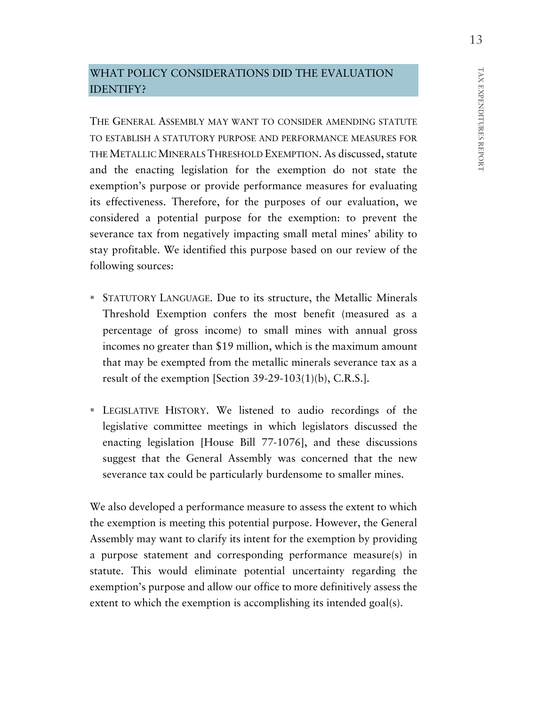#### WHAT POLICY CONSIDERATIONS DID THE EVALUATION IDENTIFY?

THE GENERAL ASSEMBLY MAY WANT TO CONSIDER AMENDING STATUTE TO ESTABLISH A STATUTORY PURPOSE AND PERFORMANCE MEASURES FOR THE METALLIC MINERALS THRESHOLD EXEMPTION. As discussed, statute and the enacting legislation for the exemption do not state the exemption's purpose or provide performance measures for evaluating its effectiveness. Therefore, for the purposes of our evaluation, we considered a potential purpose for the exemption: to prevent the severance tax from negatively impacting small metal mines' ability to stay profitable. We identified this purpose based on our review of the following sources:

- STATUTORY LANGUAGE. Due to its structure, the Metallic Minerals Threshold Exemption confers the most benefit (measured as a percentage of gross income) to small mines with annual gross incomes no greater than \$19 million, which is the maximum amount that may be exempted from the metallic minerals severance tax as a result of the exemption [Section 39-29-103(1)(b), C.R.S.].
- LEGISLATIVE HISTORY. We listened to audio recordings of the legislative committee meetings in which legislators discussed the enacting legislation [House Bill 77-1076], and these discussions suggest that the General Assembly was concerned that the new severance tax could be particularly burdensome to smaller mines.

We also developed a performance measure to assess the extent to which the exemption is meeting this potential purpose. However, the General Assembly may want to clarify its intent for the exemption by providing a purpose statement and corresponding performance measure(s) in statute. This would eliminate potential uncertainty regarding the exemption's purpose and allow our office to more definitively assess the extent to which the exemption is accomplishing its intended goal(s).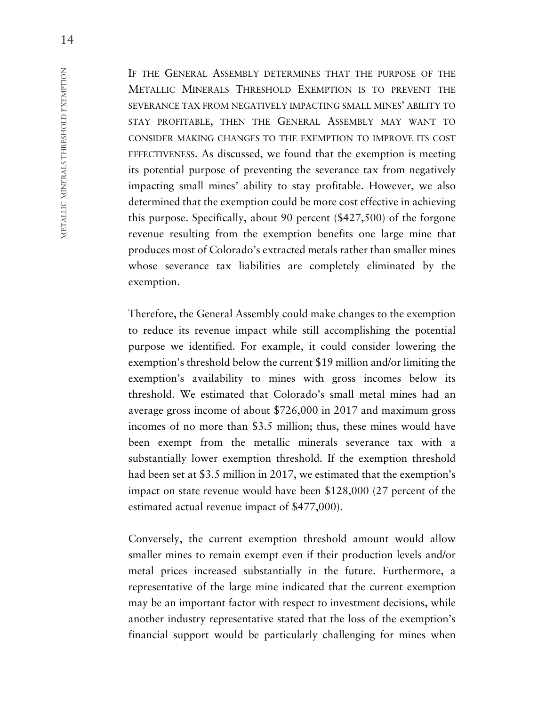IF THE GENERAL ASSEMBLY DETERMINES THAT THE PURPOSE OF THE METALLIC MINERALS THRESHOLD EXEMPTION IS TO PREVENT THE SEVERANCE TAX FROM NEGATIVELY IMPACTING SMALL MINES' ABILITY TO STAY PROFITABLE, THEN THE GENERAL ASSEMBLY MAY WANT TO CONSIDER MAKING CHANGES TO THE EXEMPTION TO IMPROVE ITS COST EFFECTIVENESS. As discussed, we found that the exemption is meeting its potential purpose of preventing the severance tax from negatively impacting small mines' ability to stay profitable. However, we also determined that the exemption could be more cost effective in achieving this purpose. Specifically, about 90 percent (\$427,500) of the forgone revenue resulting from the exemption benefits one large mine that produces most of Colorado's extracted metals rather than smaller mines whose severance tax liabilities are completely eliminated by the exemption.

Therefore, the General Assembly could make changes to the exemption to reduce its revenue impact while still accomplishing the potential purpose we identified. For example, it could consider lowering the exemption's threshold below the current \$19 million and/or limiting the exemption's availability to mines with gross incomes below its threshold. We estimated that Colorado's small metal mines had an average gross income of about \$726,000 in 2017 and maximum gross incomes of no more than \$3.5 million; thus, these mines would have been exempt from the metallic minerals severance tax with a substantially lower exemption threshold. If the exemption threshold had been set at \$3.5 million in 2017, we estimated that the exemption's impact on state revenue would have been \$128,000 (27 percent of the estimated actual revenue impact of \$477,000).

Conversely, the current exemption threshold amount would allow smaller mines to remain exempt even if their production levels and/or metal prices increased substantially in the future. Furthermore, a representative of the large mine indicated that the current exemption may be an important factor with respect to investment decisions, while another industry representative stated that the loss of the exemption's financial support would be particularly challenging for mines when